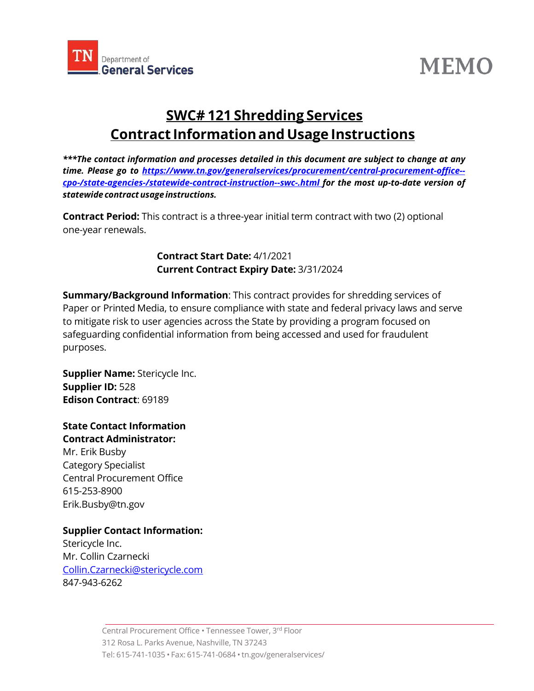

# **MEMO**

## **SWC# 121 Shredding Services Contract Informationand Usage Instructions**

*\*\*\*The contact information and processes detailed in this document are subject to change at any time. Please go to [https://www.tn.gov/generalservices/procurement/central-procurement-office-](https://www.tn.gov/generalservices/procurement/central-procurement-office--cpo-/state-agencies-/statewide-contract-instruction--swc-.html) [cpo-/state-agencies-/statewide-contract-instruction--swc-.html](https://www.tn.gov/generalservices/procurement/central-procurement-office--cpo-/state-agencies-/statewide-contract-instruction--swc-.html) for the most up-to-date version of statewide contractusageinstructions.*

**Contract Period:** This contract is a three-year initial term contract with two (2) optional one-year renewals.

> **Contract Start Date:** 4/1/2021 **Current Contract Expiry Date:** 3/31/2024

**Summary/Background Information**: This contract provides for shredding services of Paper or Printed Media, to ensure compliance with state and federal privacy laws and serve to mitigate risk to user agencies across the State by providing a program focused on safeguarding confidential information from being accessed and used for fraudulent purposes.

**Supplier Name:** Stericycle Inc. **Supplier ID:** 528 **Edison Contract**: 69189

#### **State Contact Information Contract Administrator:**

Mr. Erik Busby Category Specialist Central Procurement Office 615-253-8900 [Erik.Busby@tn.gov](mailto:Erik.Busby@tn.gov)

### **Supplier Contact Information:**

Stericycle Inc. Mr. Collin Czarnecki [Collin.Czarnecki@stericycle.com](mailto:Collin.Czarnecki@stericycle.com) 847-943-6262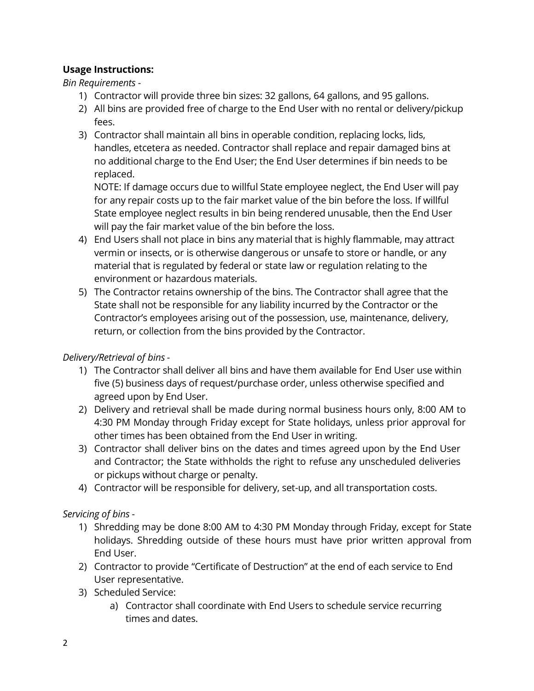#### **Usage Instructions:**

*Bin Requirements -*

- 1) Contractor will provide three bin sizes: 32 gallons, 64 gallons, and 95 gallons.
- 2) All bins are provided free of charge to the End User with no rental or delivery/pickup fees.
- 3) Contractor shall maintain all bins in operable condition, replacing locks, lids, handles, etcetera as needed. Contractor shall replace and repair damaged bins at no additional charge to the End User; the End User determines if bin needs to be replaced.

NOTE: If damage occurs due to willful State employee neglect, the End User will pay for any repair costs up to the fair market value of the bin before the loss. If willful State employee neglect results in bin being rendered unusable, then the End User will pay the fair market value of the bin before the loss.

- 4) End Users shall not place in bins any material that is highly flammable, may attract vermin or insects, or is otherwise dangerous or unsafe to store or handle, or any material that is regulated by federal or state law or regulation relating to the environment or hazardous materials.
- 5) The Contractor retains ownership of the bins. The Contractor shall agree that the State shall not be responsible for any liability incurred by the Contractor or the Contractor's employees arising out of the possession, use, maintenance, delivery, return, or collection from the bins provided by the Contractor.

*Delivery/Retrieval of bins -*

- 1) The Contractor shall deliver all bins and have them available for End User use within five (5) business days of request/purchase order, unless otherwise specified and agreed upon by End User.
- 2) Delivery and retrieval shall be made during normal business hours only, 8:00 AM to 4:30 PM Monday through Friday except for State holidays, unless prior approval for other times has been obtained from the End User in writing.
- 3) Contractor shall deliver bins on the dates and times agreed upon by the End User and Contractor; the State withholds the right to refuse any unscheduled deliveries or pickups without charge or penalty.
- 4) Contractor will be responsible for delivery, set-up, and all transportation costs.

*Servicing of bins -*

- 1) Shredding may be done 8:00 AM to 4:30 PM Monday through Friday, except for State holidays. Shredding outside of these hours must have prior written approval from End User.
- 2) Contractor to provide "Certificate of Destruction" at the end of each service to End User representative.
- 3) Scheduled Service:
	- a) Contractor shall coordinate with End Users to schedule service recurring times and dates.